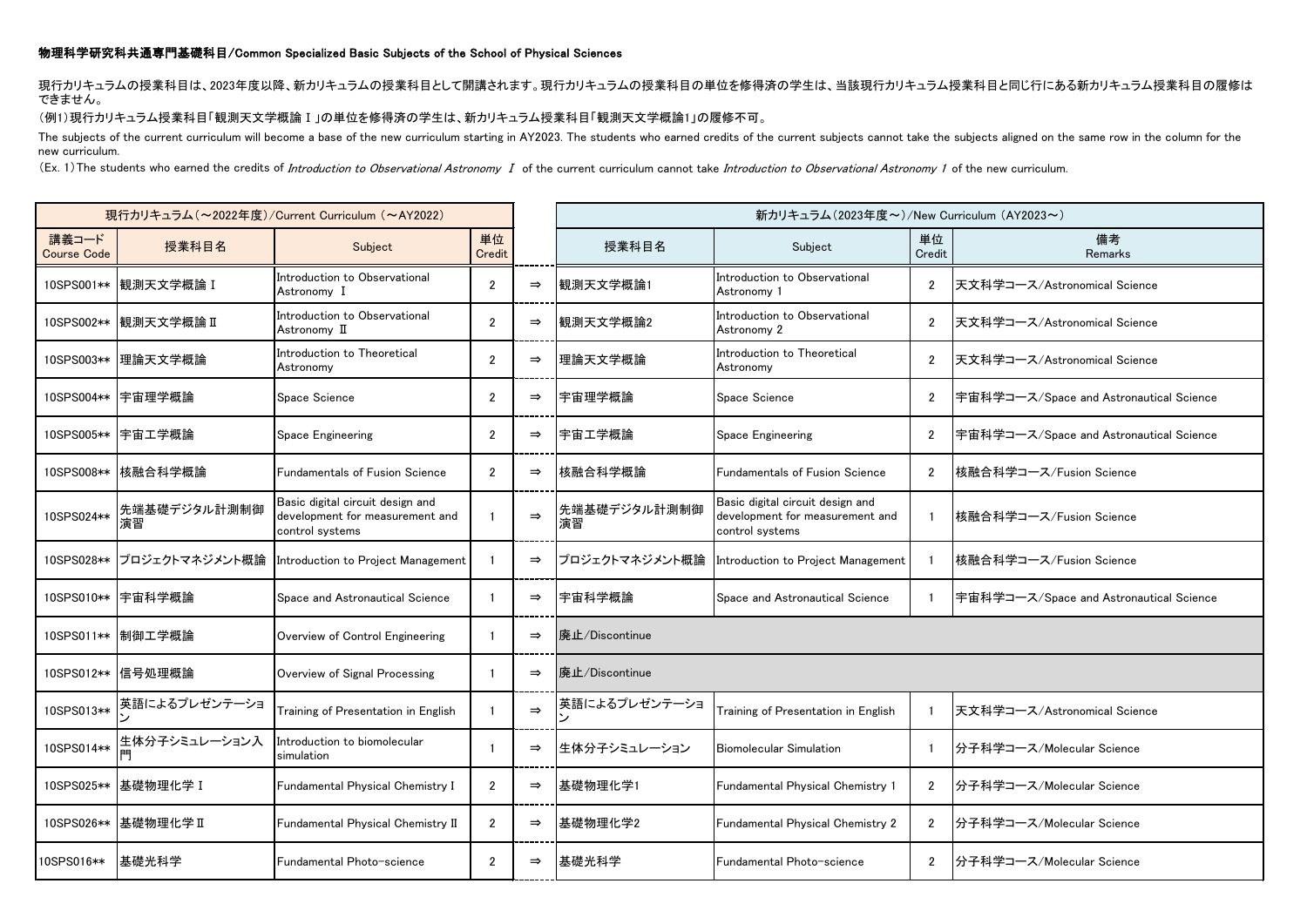## 物理科学研究科共通専門基礎科目/Common Specialized Basic Subjects of the School of Physical Sciences

現行カリキュラムの授業科目は、2023年度以降、新カリキュラムの授業科目として開講されます。現行カリキュラムの授業科目の単位を修得済の学生は、当該現行カリキュラム授業科目と同じ行にある新カリキュラム授業科目の履修は できません。

## (例1)現行カリキュラム授業科目「観測天文学概論Ⅰ」の単位を修得済の学生は、新カリキュラム授業科目「観測天文学概論1」の履修不可。

The subjects of the current curriculum will become a base of the new curriculum starting in AY2023. The students who earned credits of the current subjects cannot take the subjects aligned on the same row in the column for new curriculum.

(Ex. 1) The students who earned the credits of *Introduction to Observational Astronomy I* of the current curriculum cannot take *Introduction to Observational Astronomy 1* of the new curriculum.

| 現行カリキュラム (~2022年度)/Current Curriculum (~AY2022) |                           |                                                                                        |                |               | 新カリキュラム (2023年度~)/New Curriculum (AY2023~) |                                                                                        |                         |                                         |  |
|-------------------------------------------------|---------------------------|----------------------------------------------------------------------------------------|----------------|---------------|--------------------------------------------|----------------------------------------------------------------------------------------|-------------------------|-----------------------------------------|--|
| 講義コード<br><b>Course Code</b>                     | 授業科目名                     | Subject                                                                                | 単位<br>Credit   |               | 授業科目名                                      | Subject                                                                                | 単位<br>Credit            | 備考<br>Remarks                           |  |
|                                                 | 10SPS001** 観測天文学概論 I      | Introduction to Observational<br>Astronomy I                                           | $\overline{2}$ | $\Rightarrow$ | 観測天文学概論1                                   | Introduction to Observational<br>Astronomy 1                                           | $\overline{2}$          | 天文科学コース/Astronomical Science            |  |
|                                                 | 10SPS002** 観測天文学概論 II     | Introduction to Observational<br>Astronomy II                                          | $\overline{2}$ | $\Rightarrow$ | 観測天文学概論2                                   | Introduction to Observational<br>Astronomy 2                                           | $\mathfrak{p}$          | 天文科学コース/Astronomical Science            |  |
|                                                 | 10SPS003**  理論天文学概論       | Introduction to Theoretical<br>Astronomy                                               | $\overline{2}$ | $\Rightarrow$ | 理論天文学概論                                    | Introduction to Theoretical<br>Astronomy                                               | $\overline{2}$          | 天文科学コース/Astronomical Science            |  |
|                                                 | 10SPS004** 宇宙理学概論         | Space Science                                                                          | $\overline{2}$ | $\Rightarrow$ | 宇宙理学概論                                     | Space Science                                                                          | $\overline{2}$          | 宇宙科学コース/Space and Astronautical Science |  |
|                                                 | 10SPS005** 宇宙工学概論         | Space Engineering                                                                      | $\overline{2}$ | $\Rightarrow$ | 宇宙エ学概論                                     | <b>Space Engineering</b>                                                               | $\overline{2}$          | 宇宙科学コース/Space and Astronautical Science |  |
|                                                 | 10SPS008** 核融合科学概論        | <b>Fundamentals of Fusion Science</b>                                                  | $\overline{2}$ | $\Rightarrow$ | 核融合科学概論                                    | <b>Eundamentals of Fusion Science</b>                                                  | $\overline{2}$          | 核融合科学コース/Fusion Science                 |  |
| 10SPS024**                                      | 先端基礎デジタル計測制御<br>演習        | Basic digital circuit design and<br>development for measurement and<br>control systems |                | $\Rightarrow$ | 先端基礎デジタル計測制御<br>演習                         | Basic digital circuit design and<br>development for measurement and<br>control systems | -1                      | 核融合科学コース/Fusion Science                 |  |
|                                                 | 10SPS028** プロジェクトマネジメント概論 | Introduction to Project Management                                                     |                | $\Rightarrow$ |                                            | プロジェクトマネジメント概論 Introduction to Project Management                                      | -1                      | 核融合科学コース/Fusion Science                 |  |
|                                                 | 10SPS010 ** 宇宙科学概論        | Space and Astronautical Science                                                        |                | $\Rightarrow$ | 宇宙科学概論                                     | Space and Astronautical Science                                                        |                         | 宇宙科学コース/Space and Astronautical Science |  |
|                                                 | 10SPS011** 制御工学概論         | Overview of Control Engineering                                                        |                | $\Rightarrow$ | 廃止/Discontinue                             |                                                                                        |                         |                                         |  |
|                                                 | 10SPS012** 信号処理概論         | Overview of Signal Processing                                                          |                | $\Rightarrow$ | 廃止/Discontinue                             |                                                                                        |                         |                                         |  |
| 10SPS013**                                      | 英語によるプレゼンテーショ             | Training of Presentation in English                                                    |                | $\Rightarrow$ | 英語によるプレゼンテーショ                              | Training of Presentation in English                                                    | $\overline{\mathbf{1}}$ | 天文科学コース/Astronomical Science            |  |
| 10SPS014**                                      | 生体分子シミュレーション入             | Introduction to biomolecular<br>simulation                                             |                | $\Rightarrow$ | 生体分子シミュレーション                               | <b>Biomolecular Simulation</b>                                                         | $\overline{\mathbf{1}}$ | 分子科学コース/Molecular Science               |  |
|                                                 | 10SPS025** 基礎物理化学 I       | <b>Fundamental Physical Chemistry I</b>                                                | $\overline{2}$ | $\Rightarrow$ | 基礎物理化学1                                    | <b>Fundamental Physical Chemistry 1</b>                                                | $\overline{2}$          | 分子科学コース/Molecular Science               |  |
|                                                 | 10SPS026** 基礎物理化学 II      | Fundamental Physical Chemistry II                                                      | $\overline{2}$ | $\Rightarrow$ | 基礎物理化学2                                    | Fundamental Physical Chemistry 2                                                       | $\overline{2}$          | 分子科学コース/Molecular Science               |  |
| 10SPS016**                                      | ┃基礎光科学                    | Fundamental Photo-science                                                              | $\overline{2}$ | $\Rightarrow$ | 基礎光科学                                      | Fundamental Photo-science                                                              | $\overline{2}$          | 分子科学コース/Molecular Science               |  |